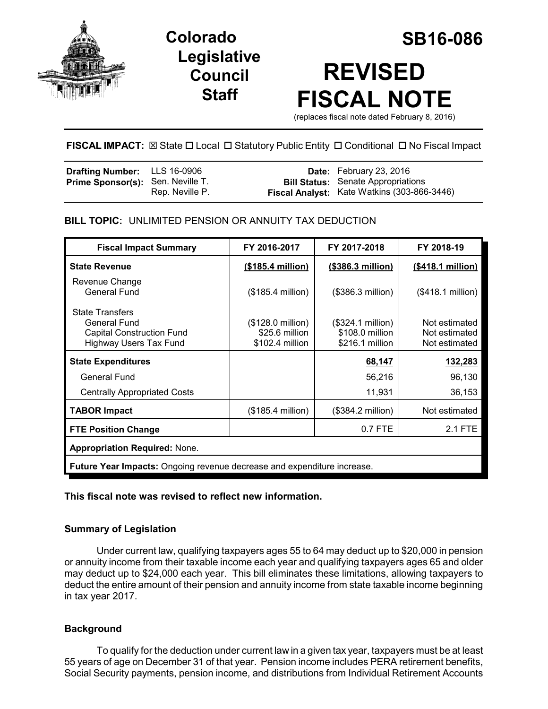

## **Legislative Council Staff**

# **Colorado SB16-086 REVISED FISCAL NOTE**

(replaces fiscal note dated February 8, 2016)

#### **FISCAL IMPACT:** ⊠ State □ Local □ Statutory Public Entity □ Conditional □ No Fiscal Impact

| <b>Drafting Number:</b> LLS 16-0906      |                 | <b>Date:</b> February 23, 2016              |
|------------------------------------------|-----------------|---------------------------------------------|
| <b>Prime Sponsor(s):</b> Sen. Neville T. |                 | <b>Bill Status:</b> Senate Appropriations   |
|                                          | Rep. Neville P. | Fiscal Analyst: Kate Watkins (303-866-3446) |

#### **BILL TOPIC:** UNLIMITED PENSION OR ANNUITY TAX DEDUCTION

| <b>Fiscal Impact Summary</b>                                                                                | FY 2016-2017                                           | FY 2017-2018                                            | FY 2018-19                                      |
|-------------------------------------------------------------------------------------------------------------|--------------------------------------------------------|---------------------------------------------------------|-------------------------------------------------|
| <b>State Revenue</b>                                                                                        | (\$185.4 million)                                      | (\$386.3 million)                                       | (\$418.1 million)                               |
| Revenue Change<br><b>General Fund</b>                                                                       | $($185.4$ million)                                     | (\$386.3 million)                                       | (\$418.1 million)                               |
| <b>State Transfers</b><br>General Fund<br><b>Capital Construction Fund</b><br><b>Highway Users Tax Fund</b> | (\$128.0 million)<br>\$25.6 million<br>\$102.4 million | (\$324.1 million)<br>\$108.0 million<br>\$216.1 million | Not estimated<br>Not estimated<br>Not estimated |
| <b>State Expenditures</b>                                                                                   |                                                        | 68,147                                                  | 132,283                                         |
| General Fund                                                                                                |                                                        | 56,216                                                  | 96,130                                          |
| <b>Centrally Appropriated Costs</b>                                                                         |                                                        | 11,931                                                  | 36,153                                          |
| <b>TABOR Impact</b>                                                                                         | (\$185.4 million)                                      | (\$384.2 million)                                       | Not estimated                                   |
| <b>FTE Position Change</b>                                                                                  |                                                        | 0.7 FTE                                                 | 2.1 FTE                                         |
| <b>Appropriation Required: None.</b>                                                                        |                                                        |                                                         |                                                 |
| <b>Future Year Impacts: Ongoing revenue decrease and expenditure increase.</b>                              |                                                        |                                                         |                                                 |

#### **This fiscal note was revised to reflect new information.**

#### **Summary of Legislation**

Under current law, qualifying taxpayers ages 55 to 64 may deduct up to \$20,000 in pension or annuity income from their taxable income each year and qualifying taxpayers ages 65 and older may deduct up to \$24,000 each year. This bill eliminates these limitations, allowing taxpayers to deduct the entire amount of their pension and annuity income from state taxable income beginning in tax year 2017.

#### **Background**

To qualify for the deduction under current law in a given tax year, taxpayers must be at least 55 years of age on December 31 of that year. Pension income includes PERA retirement benefits, Social Security payments, pension income, and distributions from Individual Retirement Accounts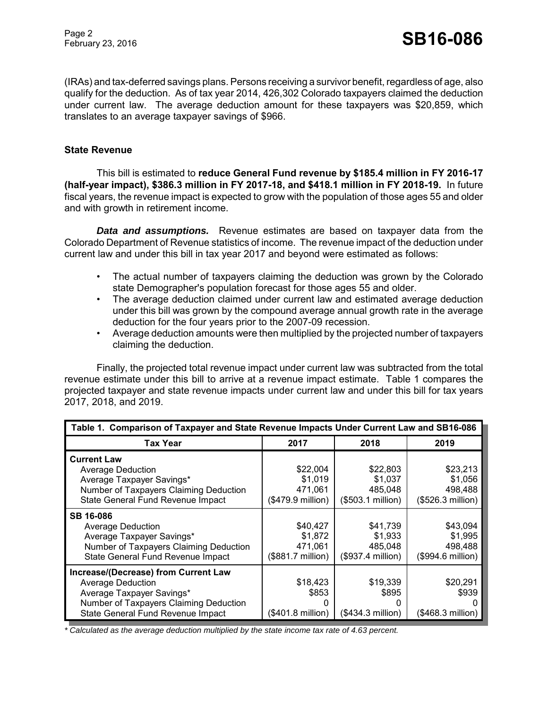(IRAs) and tax-deferred savings plans. Persons receiving a survivor benefit, regardless of age, also qualify for the deduction. As of tax year 2014, 426,302 Colorado taxpayers claimed the deduction under current law. The average deduction amount for these taxpayers was \$20,859, which translates to an average taxpayer savings of \$966.

#### **State Revenue**

This bill is estimated to **reduce General Fund revenue by \$185.4 million in FY 2016-17 (half-year impact), \$386.3 million in FY 2017-18, and \$418.1 million in FY 2018-19.** In future fiscal years, the revenue impact is expected to grow with the population of those ages 55 and older and with growth in retirement income.

*Data and assumptions.* Revenue estimates are based on taxpayer data from the Colorado Department of Revenue statistics of income. The revenue impact of the deduction under current law and under this bill in tax year 2017 and beyond were estimated as follows:

- The actual number of taxpayers claiming the deduction was grown by the Colorado state Demographer's population forecast for those ages 55 and older.
- The average deduction claimed under current law and estimated average deduction under this bill was grown by the compound average annual growth rate in the average deduction for the four years prior to the 2007-09 recession.
- Average deduction amounts were then multiplied by the projected number of taxpayers claiming the deduction.

Finally, the projected total revenue impact under current law was subtracted from the total revenue estimate under this bill to arrive at a revenue impact estimate. Table 1 compares the projected taxpayer and state revenue impacts under current law and under this bill for tax years 2017, 2018, and 2019.

| Table 1. Comparison of Taxpayer and State Revenue Impacts Under Current Law and SB16-086                                                                                     |                                                              |                                                     |                                                     |
|------------------------------------------------------------------------------------------------------------------------------------------------------------------------------|--------------------------------------------------------------|-----------------------------------------------------|-----------------------------------------------------|
| Tax Year                                                                                                                                                                     | 2017                                                         | 2018                                                | 2019                                                |
| <b>Current Law</b><br>Average Deduction<br>Average Taxpayer Savings*<br>Number of Taxpayers Claiming Deduction<br>State General Fund Revenue Impact                          | \$22,004<br>\$1,019<br>471,061<br>$($479.9 \text{ million})$ | \$22,803<br>\$1,037<br>485.048<br>(\$503.1 million) | \$23,213<br>\$1,056<br>498,488<br>(\$526.3 million) |
| <b>SB 16-086</b><br><b>Average Deduction</b><br>Average Taxpayer Savings*<br>Number of Taxpayers Claiming Deduction<br>State General Fund Revenue Impact                     | \$40,427<br>\$1,872<br>471,061<br>(\$881.7 million)          | \$41,739<br>\$1,933<br>485,048<br>(\$937.4 million) | \$43,094<br>\$1,995<br>498,488<br>(\$994.6 million) |
| Increase/(Decrease) from Current Law<br><b>Average Deduction</b><br>Average Taxpayer Savings*<br>Number of Taxpayers Claiming Deduction<br>State General Fund Revenue Impact | \$18,423<br>\$853<br>0<br>(\$401.8 million)                  | \$19,339<br>\$895<br>(\$434.3 million)              | \$20,291<br>\$939<br>(\$468.3 million)              |

*\* Calculated as the average deduction multiplied by the state income tax rate of 4.63 percent.*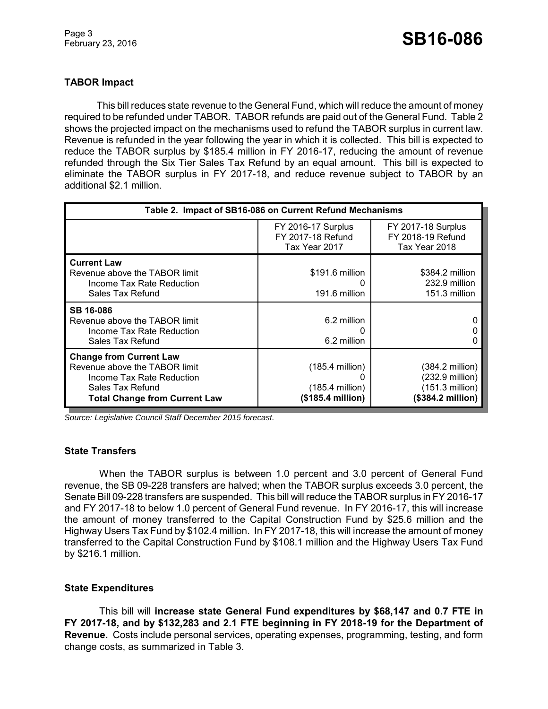#### **TABOR Impact**

This bill reduces state revenue to the General Fund, which will reduce the amount of money required to be refunded under TABOR. TABOR refunds are paid out of the General Fund. Table 2 shows the projected impact on the mechanisms used to refund the TABOR surplus in current law. Revenue is refunded in the year following the year in which it is collected. This bill is expected to reduce the TABOR surplus by \$185.4 million in FY 2016-17, reducing the amount of revenue refunded through the Six Tier Sales Tax Refund by an equal amount. This bill is expected to eliminate the TABOR surplus in FY 2017-18, and reduce revenue subject to TABOR by an additional \$2.1 million.

| Table 2. Impact of SB16-086 on Current Refund Mechanisms                                                                                                 |                                                                     |                                                                                        |  |
|----------------------------------------------------------------------------------------------------------------------------------------------------------|---------------------------------------------------------------------|----------------------------------------------------------------------------------------|--|
|                                                                                                                                                          | FY 2016-17 Surplus<br>FY 2017-18 Refund<br>Tax Year 2017            | <b>FY 2017-18 Surplus</b><br>FY 2018-19 Refund<br>Tax Year 2018                        |  |
| <b>Current Law</b><br>Revenue above the TABOR limit<br>Income Tax Rate Reduction<br>Sales Tax Refund                                                     | \$191.6 million<br>191.6 million                                    | \$384.2 million<br>232.9 million<br>151.3 million                                      |  |
| <b>SB 16-086</b><br>Revenue above the TABOR limit<br>Income Tax Rate Reduction<br>Sales Tax Refund                                                       | 6.2 million<br>6.2 million                                          |                                                                                        |  |
| <b>Change from Current Law</b><br>Revenue above the TABOR limit<br>Income Tax Rate Reduction<br>Sales Tax Refund<br><b>Total Change from Current Law</b> | $(185.4 \text{ million})$<br>$(185.4$ million)<br>(\$185.4 million) | $(384.2 \text{ million})$<br>(232.9 million)<br>$(151.3$ million)<br>(\$384.2 million) |  |

*Source: Legislative Council Staff December 2015 forecast.*

#### **State Transfers**

When the TABOR surplus is between 1.0 percent and 3.0 percent of General Fund revenue, the SB 09-228 transfers are halved; when the TABOR surplus exceeds 3.0 percent, the Senate Bill 09-228 transfers are suspended. This bill will reduce the TABOR surplus in FY 2016-17 and FY 2017-18 to below 1.0 percent of General Fund revenue. In FY 2016-17, this will increase the amount of money transferred to the Capital Construction Fund by \$25.6 million and the Highway Users Tax Fund by \$102.4 million. In FY 2017-18, this will increase the amount of money transferred to the Capital Construction Fund by \$108.1 million and the Highway Users Tax Fund by \$216.1 million.

#### **State Expenditures**

This bill will **increase state General Fund expenditures by \$68,147 and 0.7 FTE in FY 2017-18, and by \$132,283 and 2.1 FTE beginning in FY 2018-19 for the Department of Revenue.** Costs include personal services, operating expenses, programming, testing, and form change costs, as summarized in Table 3.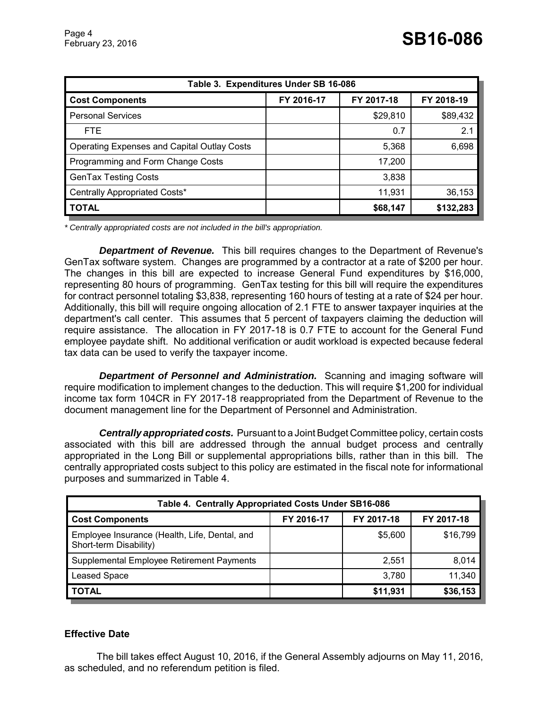| Table 3. Expenditures Under SB 16-086       |            |            |            |  |
|---------------------------------------------|------------|------------|------------|--|
| <b>Cost Components</b>                      | FY 2016-17 | FY 2017-18 | FY 2018-19 |  |
| <b>Personal Services</b>                    |            | \$29,810   | \$89,432   |  |
| FTE.                                        |            | 0.7        | 2.1        |  |
| Operating Expenses and Capital Outlay Costs |            | 5,368      | 6,698      |  |
| Programming and Form Change Costs           |            | 17,200     |            |  |
| <b>GenTax Testing Costs</b>                 |            | 3,838      |            |  |
| Centrally Appropriated Costs*               |            | 11,931     | 36,153     |  |
| <b>TOTAL</b>                                |            | \$68,147   | \$132,283  |  |

*\* Centrally appropriated costs are not included in the bill's appropriation.*

*Department of Revenue.* This bill requires changes to the Department of Revenue's GenTax software system. Changes are programmed by a contractor at a rate of \$200 per hour. The changes in this bill are expected to increase General Fund expenditures by \$16,000, representing 80 hours of programming. GenTax testing for this bill will require the expenditures for contract personnel totaling \$3,838, representing 160 hours of testing at a rate of \$24 per hour. Additionally, this bill will require ongoing allocation of 2.1 FTE to answer taxpayer inquiries at the department's call center. This assumes that 5 percent of taxpayers claiming the deduction will require assistance. The allocation in FY 2017-18 is 0.7 FTE to account for the General Fund employee paydate shift. No additional verification or audit workload is expected because federal tax data can be used to verify the taxpayer income.

*Department of Personnel and Administration.* Scanning and imaging software will require modification to implement changes to the deduction. This will require \$1,200 for individual income tax form 104CR in FY 2017-18 reappropriated from the Department of Revenue to the document management line for the Department of Personnel and Administration.

*Centrally appropriated costs.* Pursuant to a Joint Budget Committee policy, certain costs associated with this bill are addressed through the annual budget process and centrally appropriated in the Long Bill or supplemental appropriations bills, rather than in this bill. The centrally appropriated costs subject to this policy are estimated in the fiscal note for informational purposes and summarized in Table 4.

| Table 4. Centrally Appropriated Costs Under SB16-086                    |            |            |            |  |
|-------------------------------------------------------------------------|------------|------------|------------|--|
| <b>Cost Components</b>                                                  | FY 2016-17 | FY 2017-18 | FY 2017-18 |  |
| Employee Insurance (Health, Life, Dental, and<br>Short-term Disability) |            | \$5,600    | \$16,799   |  |
| Supplemental Employee Retirement Payments                               |            | 2.551      | 8,014      |  |
| <b>Leased Space</b>                                                     |            | 3,780      | 11,340     |  |
| <b>TOTAL</b>                                                            |            | \$11,931   | \$36,153   |  |

#### **Effective Date**

The bill takes effect August 10, 2016, if the General Assembly adjourns on May 11, 2016, as scheduled, and no referendum petition is filed.